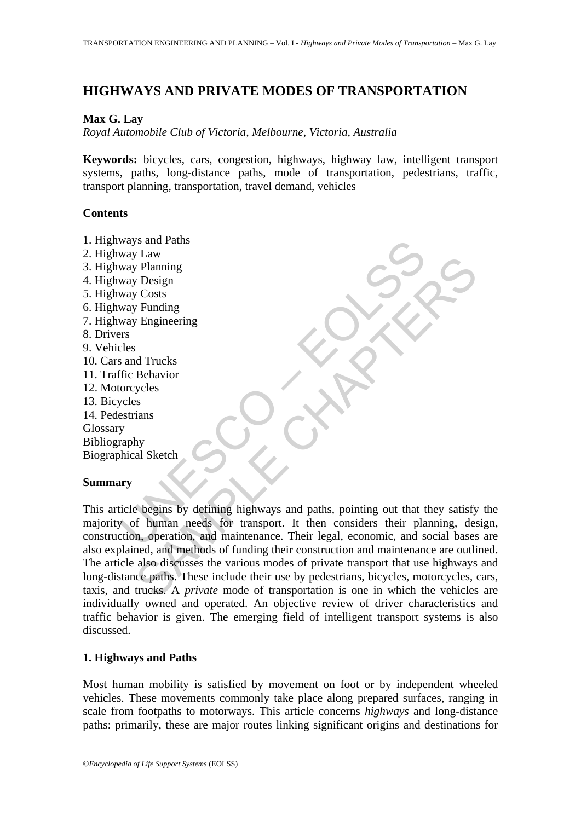# **HIGHWAYS AND PRIVATE MODES OF TRANSPORTATION**

### **Max G. Lay**

*Royal Automobile Club of Victoria, Melbourne, Victoria, Australia* 

**Keywords:** bicycles, cars, congestion, highways, highway law, intelligent transport systems, paths, long-distance paths, mode of transportation, pedestrians, traffic, transport planning, transportation, travel demand, vehicles

#### **Contents**

Way Law<br>
Way Planning<br>
Way Planning<br>
Way Pengineering<br>
Way Engineering<br>
Way Engineering<br>
Leles<br>
and Trucks<br>
Tice Behavior<br>
Secretians<br>
y<br>
y<br>
Traphy<br>
wicle begins by defining highways and paths, pointing out that t<br>
y<br>
y of Costs<br>
y Funding<br>
y Pengineering<br>
y Funding<br>
y Funding<br>
y Engineering<br>
shaw and Trucks<br>
Behavior<br>
yeles<br>
s<br>
shaw<br>
shaw and performan media for transport. It then considers their planning, des<br>
for human needs for transport 1. Highways and Paths 2. Highway Law 3. Highway Planning 4. Highway Design 5. Highway Costs 6. Highway Funding 7. Highway Engineering 8. Drivers 9. Vehicles 10. Cars and Trucks 11. Traffic Behavior 12. Motorcycles 13. Bicycles 14. Pedestrians Glossary Bibliography Biographical Sketch

#### **Summary**

This article begins by defining highways and paths, pointing out that they satisfy the majority of human needs for transport. It then considers their planning, design, construction, operation, and maintenance. Their legal, economic, and social bases are also explained, and methods of funding their construction and maintenance are outlined. The article also discusses the various modes of private transport that use highways and long-distance paths. These include their use by pedestrians, bicycles, motorcycles, cars, taxis, and trucks. A *private* mode of transportation is one in which the vehicles are individually owned and operated. An objective review of driver characteristics and traffic behavior is given. The emerging field of intelligent transport systems is also discussed.

## **1. Highways and Paths**

Most human mobility is satisfied by movement on foot or by independent wheeled vehicles. These movements commonly take place along prepared surfaces, ranging in scale from footpaths to motorways. This article concerns *highways* and long-distance paths: primarily, these are major routes linking significant origins and destinations for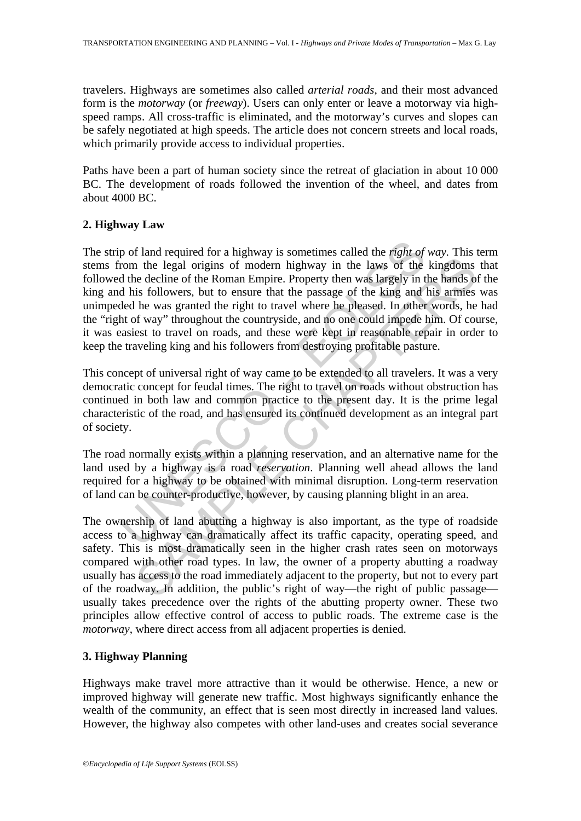travelers. Highways are sometimes also called *arterial roads*, and their most advanced form is the *motorway* (or *freeway*). Users can only enter or leave a motorway via highspeed ramps. All cross-traffic is eliminated, and the motorway's curves and slopes can be safely negotiated at high speeds. The article does not concern streets and local roads, which primarily provide access to individual properties.

Paths have been a part of human society since the retreat of glaciation in about 10 000 BC. The development of roads followed the invention of the wheel, and dates from about 4000 BC.

## **2. Highway Law**

p of land required for a highway is sometimes called the *right of*<br>rom the legal origins of modern highway in the laws of the<br>d the decline of the Roman Empire. Property then was largely in t<br>d his followers, but to ensur From the legal original of modern highway in the laws of the kingdoms<br>are decline of the Roman Empire. Property then was largely in the hands of<br>the kingdoms is followers, but to ensure that the passage of the king and hi The strip of land required for a highway is sometimes called the *right of way.* This term stems from the legal origins of modern highway in the laws of the kingdoms that followed the decline of the Roman Empire. Property then was largely in the hands of the king and his followers, but to ensure that the passage of the king and his armies was unimpeded he was granted the right to travel where he pleased. In other words, he had the "right of way" throughout the countryside, and no one could impede him. Of course, it was easiest to travel on roads, and these were kept in reasonable repair in order to keep the traveling king and his followers from destroying profitable pasture.

This concept of universal right of way came to be extended to all travelers. It was a very democratic concept for feudal times. The right to travel on roads without obstruction has continued in both law and common practice to the present day. It is the prime legal characteristic of the road, and has ensured its continued development as an integral part of society.

The road normally exists within a planning reservation, and an alternative name for the land used by a highway is a road *reservation*. Planning well ahead allows the land required for a highway to be obtained with minimal disruption. Long-term reservation of land can be counter-productive, however, by causing planning blight in an area.

The ownership of land abutting a highway is also important, as the type of roadside access to a highway can dramatically affect its traffic capacity, operating speed, and safety. This is most dramatically seen in the higher crash rates seen on motorways compared with other road types. In law, the owner of a property abutting a roadway usually has access to the road immediately adjacent to the property, but not to every part of the roadway. In addition, the public's right of way—the right of public passage usually takes precedence over the rights of the abutting property owner. These two principles allow effective control of access to public roads. The extreme case is the *motorway*, where direct access from all adjacent properties is denied.

## **3. Highway Planning**

Highways make travel more attractive than it would be otherwise. Hence, a new or improved highway will generate new traffic. Most highways significantly enhance the wealth of the community, an effect that is seen most directly in increased land values. However, the highway also competes with other land-uses and creates social severance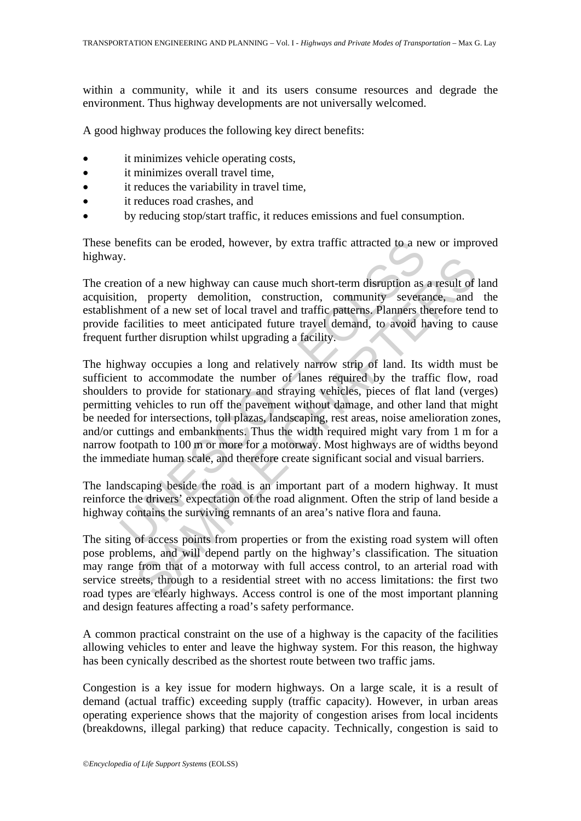within a community, while it and its users consume resources and degrade the environment. Thus highway developments are not universally welcomed.

A good highway produces the following key direct benefits:

- it minimizes vehicle operating costs,
- it minimizes overall travel time.
- it reduces the variability in travel time,
- it reduces road crashes, and
- by reducing stop/start traffic, it reduces emissions and fuel consumption.

These benefits can be eroded, however, by extra traffic attracted to a new or improved highway.

The creation of a new highway can cause much short-term disruption as a result of land acquisition, property demolition, construction, community severance, and the establishment of a new set of local travel and traffic patterns. Planners therefore tend to provide facilities to meet anticipated future travel demand, to avoid having to cause frequent further disruption whilst upgrading a facility.

between the roaded, however, by extra traffic attracted to a net space.<br>
So that ion of a new highway can cause much short-term disruption as<br>
ion, property demolition, construction, community severa<br>
hment of a new set of or of a new highway can cause much short-term disruption as a result of<br>the property demolition, construction, community severance, and<br>entired a new set of local travel and traffic patterns. Planners therefore ten<br>entire The highway occupies a long and relatively narrow strip of land. Its width must be sufficient to accommodate the number of lanes required by the traffic flow, road shoulders to provide for stationary and straying vehicles, pieces of flat land (verges) permitting vehicles to run off the pavement without damage, and other land that might be needed for intersections, toll plazas, landscaping, rest areas, noise amelioration zones, and/or cuttings and embankments. Thus the width required might vary from 1 m for a narrow footpath to 100 m or more for a motorway. Most highways are of widths beyond the immediate human scale, and therefore create significant social and visual barriers.

The landscaping beside the road is an important part of a modern highway. It must reinforce the drivers' expectation of the road alignment. Often the strip of land beside a highway contains the surviving remnants of an area's native flora and fauna.

The siting of access points from properties or from the existing road system will often pose problems, and will depend partly on the highway's classification. The situation may range from that of a motorway with full access control, to an arterial road with service streets, through to a residential street with no access limitations: the first two road types are clearly highways. Access control is one of the most important planning and design features affecting a road's safety performance.

A common practical constraint on the use of a highway is the capacity of the facilities allowing vehicles to enter and leave the highway system. For this reason, the highway has been cynically described as the shortest route between two traffic jams.

Congestion is a key issue for modern highways. On a large scale, it is a result of demand (actual traffic) exceeding supply (traffic capacity). However, in urban areas operating experience shows that the majority of congestion arises from local incidents (breakdowns, illegal parking) that reduce capacity. Technically, congestion is said to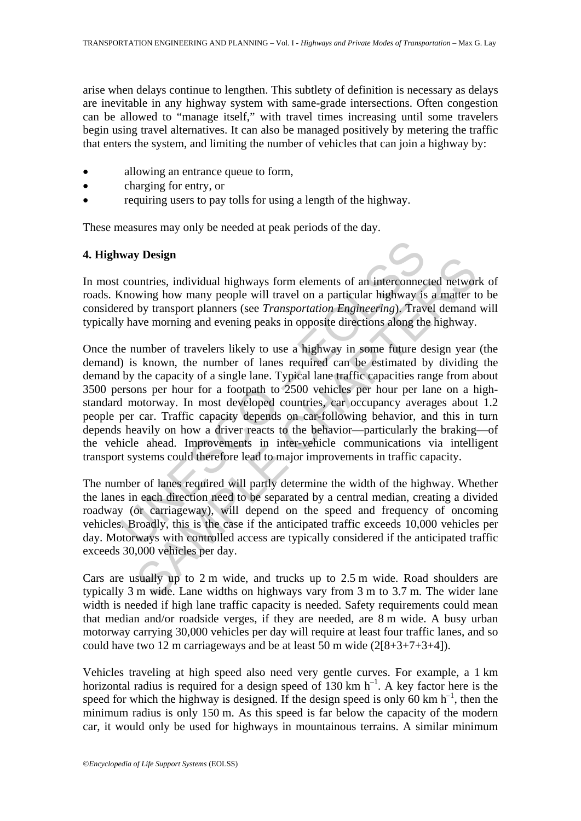arise when delays continue to lengthen. This subtlety of definition is necessary as delays are inevitable in any highway system with same-grade intersections. Often congestion can be allowed to "manage itself," with travel times increasing until some travelers begin using travel alternatives. It can also be managed positively by metering the traffic that enters the system, and limiting the number of vehicles that can join a highway by:

- allowing an entrance queue to form,
- charging for entry, or
- requiring users to pay tolls for using a length of the highway.

These measures may only be needed at peak periods of the day.

## **4. Highway Design**

In most countries, individual highways form elements of an interconnected network of roads. Knowing how many people will travel on a particular highway is a matter to be considered by transport planners (see *Transportation Engineering*). Travel demand will typically have morning and evening peaks in opposite directions along the highway.

**way Design**<br>countries, individual highways form elements of an interconnectom<br>countries, individual highways form elements of an interconnectom<br>expansive dot transport planners (see Transportation Engineering). Trav<br>y hav **SURSED**<br>
Unitries, individual highways form elements of an interconnected networ<br>
wing how many people will travel on a particular highway is a matter to<br>
by transport planners (see *Transportation Engineering*). Travel Once the number of travelers likely to use a highway in some future design year (the demand) is known, the number of lanes required can be estimated by dividing the demand by the capacity of a single lane. Typical lane traffic capacities range from about 3500 persons per hour for a footpath to 2500 vehicles per hour per lane on a highstandard motorway. In most developed countries, car occupancy averages about 1.2 people per car. Traffic capacity depends on car-following behavior, and this in turn depends heavily on how a driver reacts to the behavior—particularly the braking—of the vehicle ahead. Improvements in inter-vehicle communications via intelligent transport systems could therefore lead to major improvements in traffic capacity.

The number of lanes required will partly determine the width of the highway. Whether the lanes in each direction need to be separated by a central median, creating a divided roadway (or carriageway), will depend on the speed and frequency of oncoming vehicles. Broadly, this is the case if the anticipated traffic exceeds 10,000 vehicles per day. Motorways with controlled access are typically considered if the anticipated traffic exceeds 30,000 vehicles per day.

Cars are usually up to 2 m wide, and trucks up to 2.5 m wide. Road shoulders are typically 3 m wide. Lane widths on highways vary from 3 m to 3.7 m. The wider lane width is needed if high lane traffic capacity is needed. Safety requirements could mean that median and/or roadside verges, if they are needed, are 8 m wide. A busy urban motorway carrying 30,000 vehicles per day will require at least four traffic lanes, and so could have two 12 m carriageways and be at least 50 m wide (2[8+3+7+3+4]).

Vehicles traveling at high speed also need very gentle curves. For example, a 1 km horizontal radius is required for a design speed of 130 km  $h^{-1}$ . A key factor here is the speed for which the highway is designed. If the design speed is only 60 km  $h^{-1}$ , then the minimum radius is only 150 m. As this speed is far below the capacity of the modern car, it would only be used for highways in mountainous terrains. A similar minimum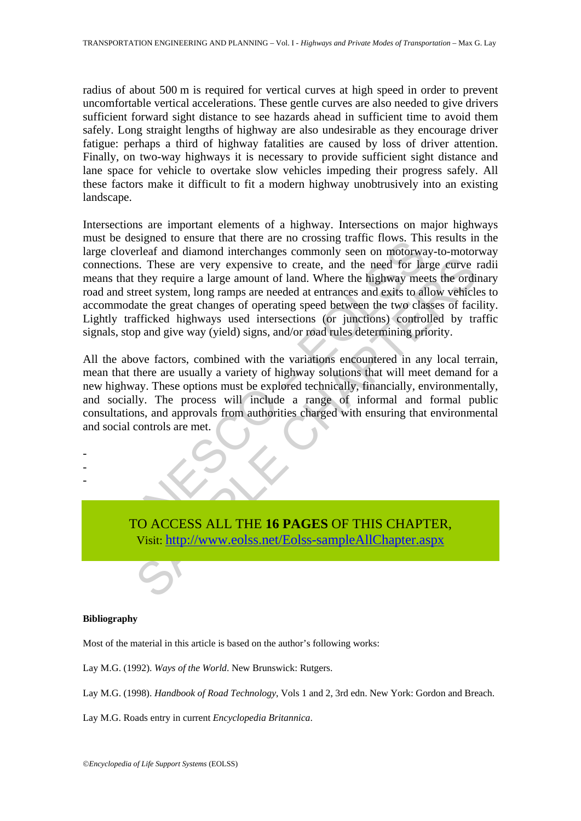radius of about 500 m is required for vertical curves at high speed in order to prevent uncomfortable vertical accelerations. These gentle curves are also needed to give drivers sufficient forward sight distance to see hazards ahead in sufficient time to avoid them safely. Long straight lengths of highway are also undesirable as they encourage driver fatigue: perhaps a third of highway fatalities are caused by loss of driver attention. Finally, on two-way highways it is necessary to provide sufficient sight distance and lane space for vehicle to overtake slow vehicles impeding their progress safely. All these factors make it difficult to fit a modern highway unobtrusively into an existing landscape.

The substitute that there are no cossing unit flows. This coverleaf and diamond interchanges commonly seen on motorwal ions. These are very expensive to create, and the need for lank they require a large amount of land. Wh s. These are very expensive to create, and the need for large curve they require a large amount of land. Where the highway meets the ordit end at entraring horizon (long ramps are needed at entraring and exist to allow veh Intersections are important elements of a highway. Intersections on major highways must be designed to ensure that there are no crossing traffic flows. This results in the large cloverleaf and diamond interchanges commonly seen on motorway-to-motorway connections. These are very expensive to create, and the need for large curve radii means that they require a large amount of land. Where the highway meets the ordinary road and street system, long ramps are needed at entrances and exits to allow vehicles to accommodate the great changes of operating speed between the two classes of facility. Lightly trafficked highways used intersections (or junctions) controlled by traffic signals, stop and give way (yield) signs, and/or road rules determining priority.

All the above factors, combined with the variations encountered in any local terrain, mean that there are usually a variety of highway solutions that will meet demand for a new highway. These options must be explored technically, financially, environmentally, and socially. The process will include a range of informal and formal public consultations, and approvals from authorities charged with ensuring that environmental and social controls are met.

- -

-

TO ACCESS ALL THE **16 PAGES** OF THIS CHAPTER, Visit: http://www.eolss.net/Eolss-sampleAllChapter.aspx

#### **Bibliography**

Most of the material in this article is based on the author's following works:

Lay M.G. (1992). *Ways of the World*. New Brunswick: Rutgers.

Lay M.G. (1998). *Handbook of Road Technology*, Vols 1 and 2, 3rd edn. New York: Gordon and Breach.

Lay M.G. Roads entry in current *Encyclopedia Britannica*.